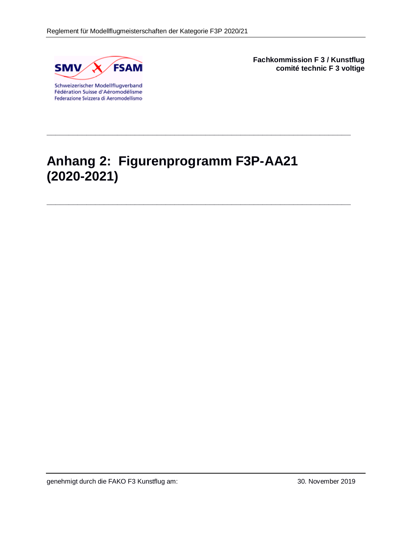

Fédération Suisse d'Aéromodélisme Federazione Svizzera di Aeromodellismo **Fachkommission F 3 / Kunstflug comité technic F 3 voltige**

# **Anhang 2: Figurenprogramm F3P-AA21 (2020-2021)**

**\_\_\_\_\_\_\_\_\_\_\_\_\_\_\_\_\_\_\_\_\_\_\_\_\_\_\_\_\_\_\_\_\_\_\_\_\_\_\_\_\_\_\_\_\_\_\_\_\_\_\_\_\_\_\_\_\_\_\_\_\_\_\_\_\_\_\_\_\_**

**\_\_\_\_\_\_\_\_\_\_\_\_\_\_\_\_\_\_\_\_\_\_\_\_\_\_\_\_\_\_\_\_\_\_\_\_\_\_\_\_\_\_\_\_\_\_\_\_\_\_\_\_\_\_\_\_\_\_\_\_\_\_\_\_\_\_\_\_\_**

genehmigt durch die FAKO F3 Kunstflug am: 30. November 2019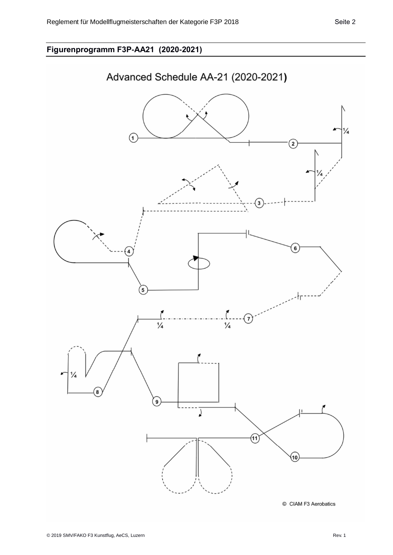## **Figurenprogramm F3P-AA21 (2020-2021)**

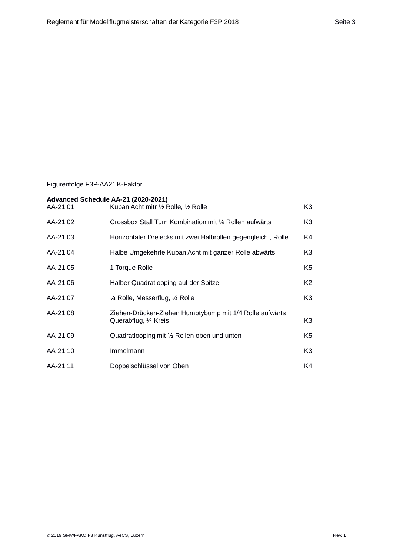### Figurenfolge F3P-AA21 K-Faktor

| Advanced Schedule AA-21 (2020-2021)<br>AA-21.01 | Kuban Acht mitr 1/2 Rolle, 1/2 Rolle                                             | K3             |
|-------------------------------------------------|----------------------------------------------------------------------------------|----------------|
| AA-21.02                                        | Crossbox Stall Turn Kombination mit 1/4 Rollen aufwärts                          | K3             |
| AA-21.03                                        | Horizontaler Dreiecks mit zwei Halbrollen gegengleich, Rolle                     | K4             |
| AA-21.04                                        | Halbe Umgekehrte Kuban Acht mit ganzer Rolle abwärts                             | K3             |
| AA-21.05                                        | 1 Torque Rolle                                                                   | K5             |
| AA-21.06                                        | Halber Quadratlooping auf der Spitze                                             | K <sub>2</sub> |
| AA-21.07                                        | 1/4 Rolle, Messerflug, 1/4 Rolle                                                 | K3             |
| AA-21.08                                        | Ziehen-Drücken-Ziehen Humptybump mit 1/4 Rolle aufwärts<br>Querabflug, 1/4 Kreis | K3             |
| AA-21.09                                        | Quadratlooping mit 1/2 Rollen oben und unten                                     | K <sub>5</sub> |
| AA-21.10                                        | Immelmann                                                                        | K3             |
| AA-21.11                                        | Doppelschlüssel von Oben                                                         | K4             |